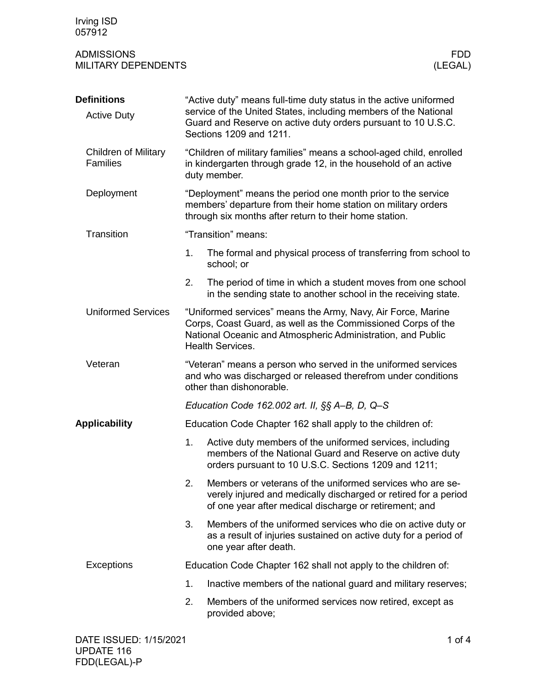Irving ISD 057912

## ADMISSIONS FDD MILITARY DEPENDENTS

| <b>Definitions</b><br><b>Active Duty</b>       | "Active duty" means full-time duty status in the active uniformed<br>service of the United States, including members of the National<br>Guard and Reserve on active duty orders pursuant to 10 U.S.C.<br>Sections 1209 and 1211. |                                                                                                                                                                                                                        |  |  |
|------------------------------------------------|----------------------------------------------------------------------------------------------------------------------------------------------------------------------------------------------------------------------------------|------------------------------------------------------------------------------------------------------------------------------------------------------------------------------------------------------------------------|--|--|
| <b>Children of Military</b><br><b>Families</b> | "Children of military families" means a school-aged child, enrolled<br>in kindergarten through grade 12, in the household of an active<br>duty member.                                                                           |                                                                                                                                                                                                                        |  |  |
| Deployment                                     | "Deployment" means the period one month prior to the service<br>members' departure from their home station on military orders<br>through six months after return to their home station.                                          |                                                                                                                                                                                                                        |  |  |
| Transition                                     |                                                                                                                                                                                                                                  | "Transition" means:                                                                                                                                                                                                    |  |  |
|                                                | 1.                                                                                                                                                                                                                               | The formal and physical process of transferring from school to<br>school; or                                                                                                                                           |  |  |
|                                                | 2.                                                                                                                                                                                                                               | The period of time in which a student moves from one school<br>in the sending state to another school in the receiving state.                                                                                          |  |  |
| <b>Uniformed Services</b>                      |                                                                                                                                                                                                                                  | "Uniformed services" means the Army, Navy, Air Force, Marine<br>Corps, Coast Guard, as well as the Commissioned Corps of the<br>National Oceanic and Atmospheric Administration, and Public<br><b>Health Services.</b> |  |  |
| Veteran                                        | "Veteran" means a person who served in the uniformed services<br>and who was discharged or released therefrom under conditions<br>other than dishonorable.                                                                       |                                                                                                                                                                                                                        |  |  |
|                                                | Education Code 162.002 art. II, §§ A-B, D, Q-S                                                                                                                                                                                   |                                                                                                                                                                                                                        |  |  |
| <b>Applicability</b>                           | Education Code Chapter 162 shall apply to the children of:                                                                                                                                                                       |                                                                                                                                                                                                                        |  |  |
|                                                | 1.                                                                                                                                                                                                                               | Active duty members of the uniformed services, including<br>members of the National Guard and Reserve on active duty<br>orders pursuant to 10 U.S.C. Sections 1209 and 1211;                                           |  |  |
|                                                | 2.                                                                                                                                                                                                                               | Members or veterans of the uniformed services who are se-<br>verely injured and medically discharged or retired for a period<br>of one year after medical discharge or retirement; and                                 |  |  |
|                                                | 3.                                                                                                                                                                                                                               | Members of the uniformed services who die on active duty or<br>as a result of injuries sustained on active duty for a period of<br>one year after death.                                                               |  |  |
| Exceptions                                     |                                                                                                                                                                                                                                  | Education Code Chapter 162 shall not apply to the children of:                                                                                                                                                         |  |  |
|                                                | 1.                                                                                                                                                                                                                               | Inactive members of the national guard and military reserves;                                                                                                                                                          |  |  |
|                                                | 2.                                                                                                                                                                                                                               | Members of the uniformed services now retired, except as<br>provided above;                                                                                                                                            |  |  |
| DATE ISSUED: 1/15/2021                         |                                                                                                                                                                                                                                  | 1 of $4$                                                                                                                                                                                                               |  |  |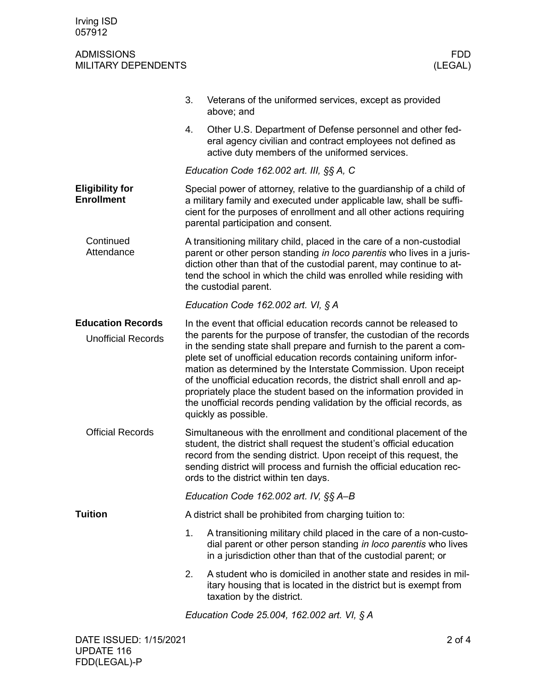## ADMISSIONS FDD **MILITARY DEPENDENTS**

|                                                       | 3.                                                                                                                                                                                                                                                                                                                                 | Veterans of the uniformed services, except as provided<br>above; and                                                                                                                                                                                                                                                                                                                                                                                                                                                                                                                                          |  |
|-------------------------------------------------------|------------------------------------------------------------------------------------------------------------------------------------------------------------------------------------------------------------------------------------------------------------------------------------------------------------------------------------|---------------------------------------------------------------------------------------------------------------------------------------------------------------------------------------------------------------------------------------------------------------------------------------------------------------------------------------------------------------------------------------------------------------------------------------------------------------------------------------------------------------------------------------------------------------------------------------------------------------|--|
|                                                       | 4.                                                                                                                                                                                                                                                                                                                                 | Other U.S. Department of Defense personnel and other fed-<br>eral agency civilian and contract employees not defined as<br>active duty members of the uniformed services.                                                                                                                                                                                                                                                                                                                                                                                                                                     |  |
|                                                       | Education Code 162.002 art. III, §§ A, C                                                                                                                                                                                                                                                                                           |                                                                                                                                                                                                                                                                                                                                                                                                                                                                                                                                                                                                               |  |
| <b>Eligibility for</b><br><b>Enrollment</b>           | Special power of attorney, relative to the guardianship of a child of<br>a military family and executed under applicable law, shall be suffi-<br>cient for the purposes of enrollment and all other actions requiring<br>parental participation and consent.                                                                       |                                                                                                                                                                                                                                                                                                                                                                                                                                                                                                                                                                                                               |  |
| Continued<br>Attendance                               | A transitioning military child, placed in the care of a non-custodial<br>parent or other person standing in loco parentis who lives in a juris-<br>diction other than that of the custodial parent, may continue to at-<br>tend the school in which the child was enrolled while residing with<br>the custodial parent.            |                                                                                                                                                                                                                                                                                                                                                                                                                                                                                                                                                                                                               |  |
|                                                       | Education Code 162.002 art. VI, § A                                                                                                                                                                                                                                                                                                |                                                                                                                                                                                                                                                                                                                                                                                                                                                                                                                                                                                                               |  |
| <b>Education Records</b><br><b>Unofficial Records</b> |                                                                                                                                                                                                                                                                                                                                    | In the event that official education records cannot be released to<br>the parents for the purpose of transfer, the custodian of the records<br>in the sending state shall prepare and furnish to the parent a com-<br>plete set of unofficial education records containing uniform infor-<br>mation as determined by the Interstate Commission. Upon receipt<br>of the unofficial education records, the district shall enroll and ap-<br>propriately place the student based on the information provided in<br>the unofficial records pending validation by the official records, as<br>quickly as possible. |  |
| <b>Official Records</b>                               | Simultaneous with the enrollment and conditional placement of the<br>student, the district shall request the student's official education<br>record from the sending district. Upon receipt of this request, the<br>sending district will process and furnish the official education rec-<br>ords to the district within ten days. |                                                                                                                                                                                                                                                                                                                                                                                                                                                                                                                                                                                                               |  |
|                                                       | Education Code 162.002 art. IV, §§ A-B                                                                                                                                                                                                                                                                                             |                                                                                                                                                                                                                                                                                                                                                                                                                                                                                                                                                                                                               |  |
| <b>Tuition</b>                                        |                                                                                                                                                                                                                                                                                                                                    | A district shall be prohibited from charging tuition to:                                                                                                                                                                                                                                                                                                                                                                                                                                                                                                                                                      |  |
|                                                       | 1.                                                                                                                                                                                                                                                                                                                                 | A transitioning military child placed in the care of a non-custo-<br>dial parent or other person standing in loco parentis who lives<br>in a jurisdiction other than that of the custodial parent; or                                                                                                                                                                                                                                                                                                                                                                                                         |  |
|                                                       | 2.                                                                                                                                                                                                                                                                                                                                 | A student who is domiciled in another state and resides in mil-<br>itary housing that is located in the district but is exempt from<br>taxation by the district.                                                                                                                                                                                                                                                                                                                                                                                                                                              |  |
|                                                       | Education Code 25.004, 162.002 art. VI, § A                                                                                                                                                                                                                                                                                        |                                                                                                                                                                                                                                                                                                                                                                                                                                                                                                                                                                                                               |  |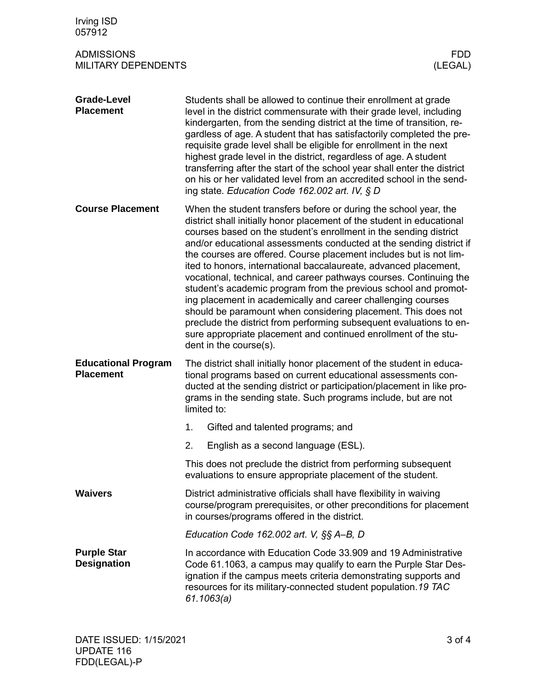| Irving ISD<br>057912                            |                                                                                                                                                                                                                                                                                                                                                                                                                                                                                                                                                                                                                                                                                                                                                                                                                                                                                |  |  |
|-------------------------------------------------|--------------------------------------------------------------------------------------------------------------------------------------------------------------------------------------------------------------------------------------------------------------------------------------------------------------------------------------------------------------------------------------------------------------------------------------------------------------------------------------------------------------------------------------------------------------------------------------------------------------------------------------------------------------------------------------------------------------------------------------------------------------------------------------------------------------------------------------------------------------------------------|--|--|
| <b>ADMISSIONS</b><br><b>MILITARY DEPENDENTS</b> | FDD.<br>(LEGAL)                                                                                                                                                                                                                                                                                                                                                                                                                                                                                                                                                                                                                                                                                                                                                                                                                                                                |  |  |
| <b>Grade-Level</b><br><b>Placement</b>          | Students shall be allowed to continue their enrollment at grade<br>level in the district commensurate with their grade level, including<br>kindergarten, from the sending district at the time of transition, re-<br>gardless of age. A student that has satisfactorily completed the pre-<br>requisite grade level shall be eligible for enrollment in the next<br>highest grade level in the district, regardless of age. A student<br>transferring after the start of the school year shall enter the district<br>on his or her validated level from an accredited school in the send-<br>ing state. Education Code 162.002 art. IV, § D                                                                                                                                                                                                                                    |  |  |
| <b>Course Placement</b>                         | When the student transfers before or during the school year, the<br>district shall initially honor placement of the student in educational<br>courses based on the student's enrollment in the sending district<br>and/or educational assessments conducted at the sending district if<br>the courses are offered. Course placement includes but is not lim-<br>ited to honors, international baccalaureate, advanced placement,<br>vocational, technical, and career pathways courses. Continuing the<br>student's academic program from the previous school and promot-<br>ing placement in academically and career challenging courses<br>should be paramount when considering placement. This does not<br>preclude the district from performing subsequent evaluations to en-<br>sure appropriate placement and continued enrollment of the stu-<br>dent in the course(s). |  |  |
| <b>Educational Program</b><br><b>Placement</b>  | The district shall initially honor placement of the student in educa-<br>tional programs based on current educational assessments con-<br>ducted at the sending district or participation/placement in like pro-<br>grams in the sending state. Such programs include, but are not<br>limited to:                                                                                                                                                                                                                                                                                                                                                                                                                                                                                                                                                                              |  |  |
|                                                 | 1.<br>Gifted and talented programs; and                                                                                                                                                                                                                                                                                                                                                                                                                                                                                                                                                                                                                                                                                                                                                                                                                                        |  |  |
|                                                 | 2.<br>English as a second language (ESL).                                                                                                                                                                                                                                                                                                                                                                                                                                                                                                                                                                                                                                                                                                                                                                                                                                      |  |  |
|                                                 | This does not preclude the district from performing subsequent<br>evaluations to ensure appropriate placement of the student.                                                                                                                                                                                                                                                                                                                                                                                                                                                                                                                                                                                                                                                                                                                                                  |  |  |
| <b>Waivers</b>                                  | District administrative officials shall have flexibility in waiving<br>course/program prerequisites, or other preconditions for placement<br>in courses/programs offered in the district.                                                                                                                                                                                                                                                                                                                                                                                                                                                                                                                                                                                                                                                                                      |  |  |
|                                                 | Education Code $162.002$ art. V, $\S$ $\&$ A-B, D                                                                                                                                                                                                                                                                                                                                                                                                                                                                                                                                                                                                                                                                                                                                                                                                                              |  |  |
| <b>Purple Star</b><br><b>Designation</b>        | In accordance with Education Code 33.909 and 19 Administrative<br>Code 61.1063, a campus may qualify to earn the Purple Star Des-<br>ignation if the campus meets criteria demonstrating supports and<br>resources for its military-connected student population.19 TAC<br>61.1063(a)                                                                                                                                                                                                                                                                                                                                                                                                                                                                                                                                                                                          |  |  |